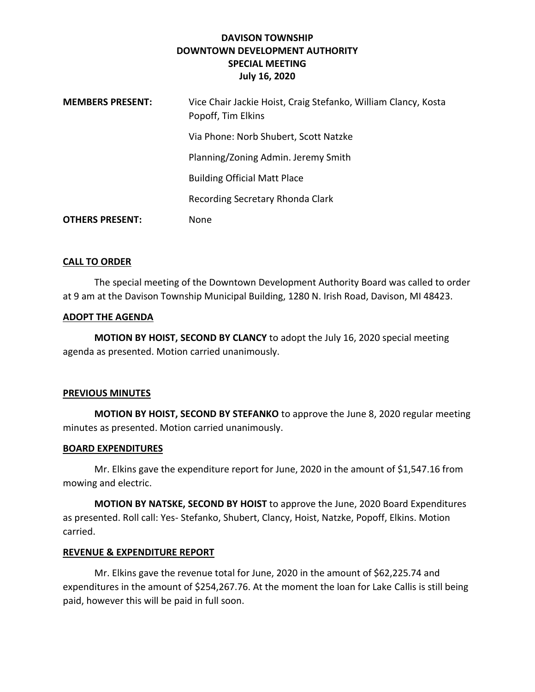## **DAVISON TOWNSHIP DOWNTOWN DEVELOPMENT AUTHORITY SPECIAL MEETING July 16, 2020**

| <b>MEMBERS PRESENT:</b> | Vice Chair Jackie Hoist, Craig Stefanko, William Clancy, Kosta<br>Popoff, Tim Elkins |
|-------------------------|--------------------------------------------------------------------------------------|
|                         | Via Phone: Norb Shubert, Scott Natzke                                                |
|                         | Planning/Zoning Admin. Jeremy Smith                                                  |
|                         | <b>Building Official Matt Place</b>                                                  |
|                         | Recording Secretary Rhonda Clark                                                     |
| <b>OTHERS PRESENT:</b>  | None                                                                                 |

## **CALL TO ORDER**

The special meeting of the Downtown Development Authority Board was called to order at 9 am at the Davison Township Municipal Building, 1280 N. Irish Road, Davison, MI 48423.

### **ADOPT THE AGENDA**

**MOTION BY HOIST, SECOND BY CLANCY** to adopt the July 16, 2020 special meeting agenda as presented. Motion carried unanimously.

## **PREVIOUS MINUTES**

**MOTION BY HOIST, SECOND BY STEFANKO** to approve the June 8, 2020 regular meeting minutes as presented. Motion carried unanimously.

## **BOARD EXPENDITURES**

Mr. Elkins gave the expenditure report for June, 2020 in the amount of \$1,547.16 from mowing and electric.

**MOTION BY NATSKE, SECOND BY HOIST** to approve the June, 2020 Board Expenditures as presented. Roll call: Yes- Stefanko, Shubert, Clancy, Hoist, Natzke, Popoff, Elkins. Motion carried.

## **REVENUE & EXPENDITURE REPORT**

Mr. Elkins gave the revenue total for June, 2020 in the amount of \$62,225.74 and expenditures in the amount of \$254,267.76. At the moment the loan for Lake Callis is still being paid, however this will be paid in full soon.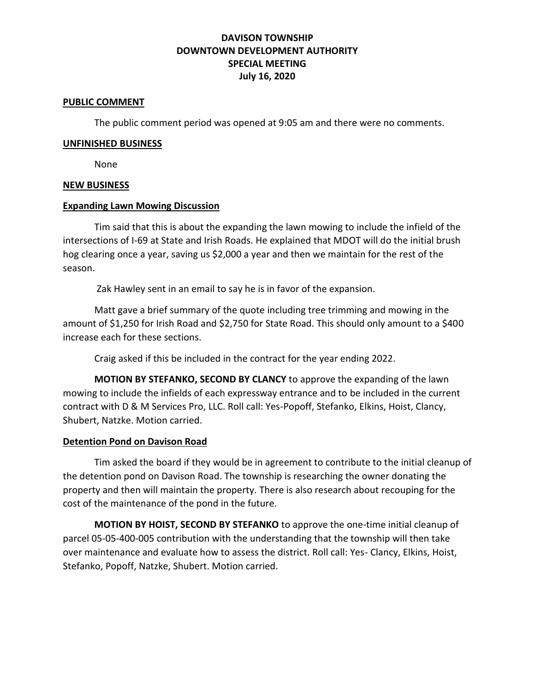# **DAVISON TOWNSHIP DOWNTOWN DEVELOPMENT AUTHORITY SPECIAL MEETING July 16, 2020**

#### **PUBLIC COMMENT**

The public comment period was opened at 9:05 am and there were no comments.

#### **UNFINISHED BUSINESS**

None

#### **NEW BUSINESS**

### **Expanding Lawn Mowing Discussion**

Tim said that this is about the expanding the lawn mowing to include the infield of the intersections of I-69 at State and Irish Roads. He explained that MDOT will do the initial brush hog clearing once a year, saving us \$2,000 a year and then we maintain for the rest of the season.

Zak Hawley sent in an email to say he is in favor of the expansion.

Matt gave a brief summary of the quote including tree trimming and mowing in the amount of \$1,250 for Irish Road and \$2,750 for State Road. This should only amount to a \$400 increase each for these sections.

Craig asked if this be included in the contract for the year ending 2022.

**MOTION BY STEFANKO, SECOND BY CLANCY** to approve the expanding of the lawn mowing to include the infields of each expressway entrance and to be included in the current contract with D & M Services Pro, LLC. Roll call: Yes-Popoff, Stefanko, Elkins, Hoist, Clancy, Shubert, Natzke. Motion carried.

#### **Detention Pond on Davison Road**

Tim asked the board if they would be in agreement to contribute to the initial cleanup of the detention pond on Davison Road. The township is researching the owner donating the property and then will maintain the property. There is also research about recouping for the cost of the maintenance of the pond in the future.

**MOTION BY HOIST, SECOND BY STEFANKO** to approve the one-time initial cleanup of parcel 05-05-400-005 contribution with the understanding that the township will then take over maintenance and evaluate how to assess the district. Roll call: Yes- Clancy, Elkins, Hoist, Stefanko, Popoff, Natzke, Shubert. Motion carried.